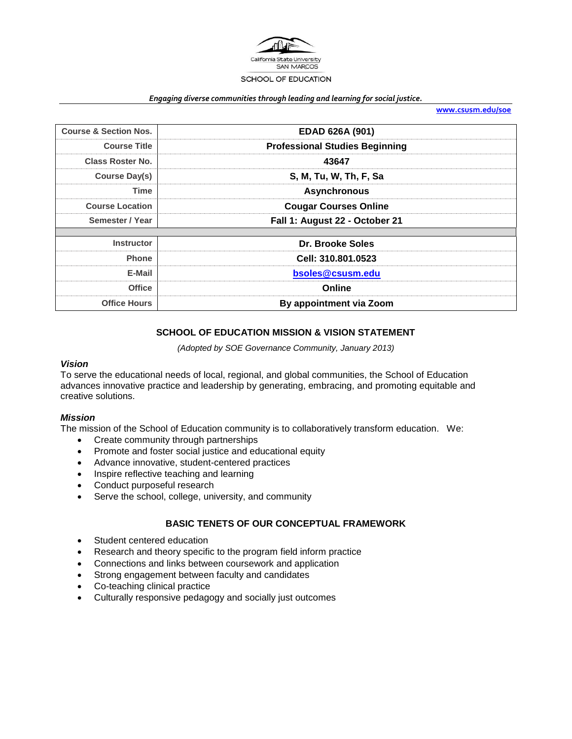

#### *Engaging diverse communities through leading and learning for social justice.*

**[www.csusm.edu/soe](http://www.csusm.edu/soe)**

| <b>Course &amp; Section Nos.</b> | EDAD 626A (901)                       |  |  |  |  |
|----------------------------------|---------------------------------------|--|--|--|--|
| <b>Course Title</b>              | <b>Professional Studies Beginning</b> |  |  |  |  |
| <b>Class Roster No.</b>          | 43647                                 |  |  |  |  |
| <b>Course Day(s)</b>             | S, M, Tu, W, Th, F, Sa                |  |  |  |  |
| Time                             | <b>Asynchronous</b>                   |  |  |  |  |
| <b>Course Location</b>           | <b>Cougar Courses Online</b>          |  |  |  |  |
| Semester / Year                  | Fall 1: August 22 - October 21        |  |  |  |  |
|                                  |                                       |  |  |  |  |
| <b>Instructor</b>                | Dr. Brooke Soles                      |  |  |  |  |
| <b>Phone</b>                     | Cell: 310.801.0523                    |  |  |  |  |
| E-Mail                           | bsoles@csusm.edu                      |  |  |  |  |
| <b>Office</b>                    | Online                                |  |  |  |  |
| <b>Office Hours</b>              | By appointment via Zoom               |  |  |  |  |

### **SCHOOL OF EDUCATION MISSION & VISION STATEMENT**

*(Adopted by SOE Governance Community, January 2013)*

#### *Vision*

To serve the educational needs of local, regional, and global communities, the School of Education advances innovative practice and leadership by generating, embracing, and promoting equitable and creative solutions.

### *Mission*

The mission of the School of Education community is to collaboratively transform education. We:

- Create community through partnerships
- Promote and foster social justice and educational equity
- Advance innovative, student-centered practices
- Inspire reflective teaching and learning
- Conduct purposeful research
- Serve the school, college, university, and community

# **BASIC TENETS OF OUR CONCEPTUAL FRAMEWORK**

- Student centered education
- Research and theory specific to the program field inform practice
- Connections and links between coursework and application
- Strong engagement between faculty and candidates
- Co-teaching clinical practice
- Culturally responsive pedagogy and socially just outcomes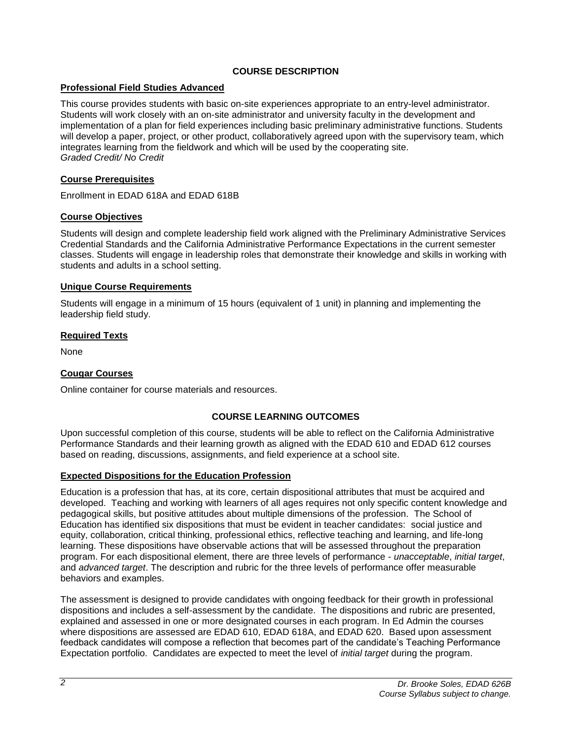# **COURSE DESCRIPTION**

# **Professional Field Studies Advanced**

This course provides students with basic on-site experiences appropriate to an entry-level administrator. Students will work closely with an on-site administrator and university faculty in the development and implementation of a plan for field experiences including basic preliminary administrative functions. Students will develop a paper, project, or other product, collaboratively agreed upon with the supervisory team, which integrates learning from the fieldwork and which will be used by the cooperating site. *Graded Credit/ No Credit*

# **Course Prerequisites**

Enrollment in EDAD 618A and EDAD 618B

# **Course Objectives**

Students will design and complete leadership field work aligned with the Preliminary Administrative Services Credential Standards and the California Administrative Performance Expectations in the current semester classes. Students will engage in leadership roles that demonstrate their knowledge and skills in working with students and adults in a school setting.

# **Unique Course Requirements**

Students will engage in a minimum of 15 hours (equivalent of 1 unit) in planning and implementing the leadership field study.

### **Required Texts**

None

# **Cougar Courses**

Online container for course materials and resources.

# **COURSE LEARNING OUTCOMES**

Upon successful completion of this course, students will be able to reflect on the California Administrative Performance Standards and their learning growth as aligned with the EDAD 610 and EDAD 612 courses based on reading, discussions, assignments, and field experience at a school site.

# **Expected Dispositions for the Education Profession**

Education is a profession that has, at its core, certain dispositional attributes that must be acquired and developed. Teaching and working with learners of all ages requires not only specific content knowledge and pedagogical skills, but positive attitudes about multiple dimensions of the profession. The School of Education has identified six dispositions that must be evident in teacher candidates: social justice and equity, collaboration, critical thinking, professional ethics, reflective teaching and learning, and life-long learning. These dispositions have observable actions that will be assessed throughout the preparation program. For each dispositional element, there are three levels of performance - *unacceptable*, *initial target*, and *advanced target*. The description and rubric for the three levels of performance offer measurable behaviors and examples.

The assessment is designed to provide candidates with ongoing feedback for their growth in professional dispositions and includes a self-assessment by the candidate. The dispositions and rubric are presented, explained and assessed in one or more designated courses in each program. In Ed Admin the courses where dispositions are assessed are EDAD 610, EDAD 618A, and EDAD 620. Based upon assessment feedback candidates will compose a reflection that becomes part of the candidate's Teaching Performance Expectation portfolio. Candidates are expected to meet the level of *initial target* during the program.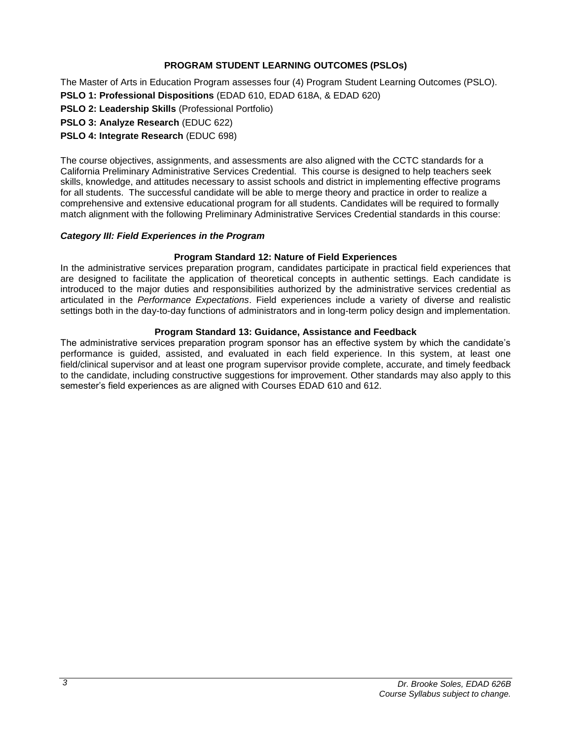# **PROGRAM STUDENT LEARNING OUTCOMES (PSLOs)**

The Master of Arts in Education Program assesses four (4) Program Student Learning Outcomes (PSLO). **PSLO 1: Professional Dispositions** (EDAD 610, EDAD 618A, & EDAD 620)

**PSLO 2: Leadership Skills** (Professional Portfolio)

**PSLO 3: Analyze Research** (EDUC 622)

**PSLO 4: Integrate Research** (EDUC 698)

The course objectives, assignments, and assessments are also aligned with the CCTC standards for a California Preliminary Administrative Services Credential. This course is designed to help teachers seek skills, knowledge, and attitudes necessary to assist schools and district in implementing effective programs for all students. The successful candidate will be able to merge theory and practice in order to realize a comprehensive and extensive educational program for all students. Candidates will be required to formally match alignment with the following Preliminary Administrative Services Credential standards in this course:

### *Category III: Field Experiences in the Program*

### **Program Standard 12: Nature of Field Experiences**

In the administrative services preparation program, candidates participate in practical field experiences that are designed to facilitate the application of theoretical concepts in authentic settings. Each candidate is introduced to the major duties and responsibilities authorized by the administrative services credential as articulated in the *Performance Expectations*. Field experiences include a variety of diverse and realistic settings both in the day-to-day functions of administrators and in long-term policy design and implementation.

### **Program Standard 13: Guidance, Assistance and Feedback**

The administrative services preparation program sponsor has an effective system by which the candidate's performance is guided, assisted, and evaluated in each field experience. In this system, at least one field/clinical supervisor and at least one program supervisor provide complete, accurate, and timely feedback to the candidate, including constructive suggestions for improvement. Other standards may also apply to this semester's field experiences as are aligned with Courses EDAD 610 and 612.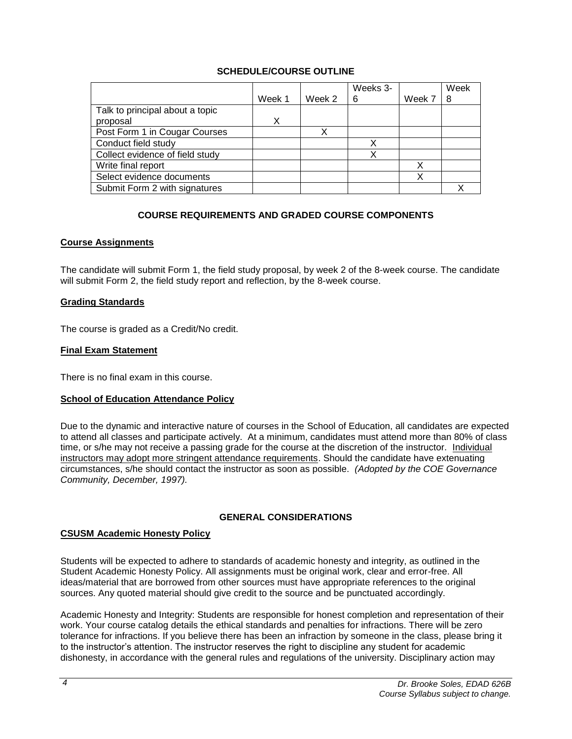# **SCHEDULE/COURSE OUTLINE**

|                                 |        |        | Weeks 3- |        | Week |
|---------------------------------|--------|--------|----------|--------|------|
|                                 | Week 1 | Week 2 | 6        | Week 7 | 8    |
| Talk to principal about a topic |        |        |          |        |      |
| proposal                        |        |        |          |        |      |
| Post Form 1 in Cougar Courses   |        |        |          |        |      |
| Conduct field study             |        |        | Х        |        |      |
| Collect evidence of field study |        |        | Х        |        |      |
| Write final report              |        |        |          |        |      |
| Select evidence documents       |        |        |          |        |      |
| Submit Form 2 with signatures   |        |        |          |        |      |

# **COURSE REQUIREMENTS AND GRADED COURSE COMPONENTS**

# **Course Assignments**

The candidate will submit Form 1, the field study proposal, by week 2 of the 8-week course. The candidate will submit Form 2, the field study report and reflection, by the 8-week course.

### **Grading Standards**

The course is graded as a Credit/No credit.

### **Final Exam Statement**

There is no final exam in this course.

# **School of Education Attendance Policy**

Due to the dynamic and interactive nature of courses in the School of Education, all candidates are expected to attend all classes and participate actively. At a minimum, candidates must attend more than 80% of class time, or s/he may not receive a passing grade for the course at the discretion of the instructor. Individual instructors may adopt more stringent attendance requirements. Should the candidate have extenuating circumstances, s/he should contact the instructor as soon as possible. *(Adopted by the COE Governance Community, December, 1997).*

### **GENERAL CONSIDERATIONS**

# **CSUSM Academic Honesty Policy**

Students will be expected to adhere to standards of academic honesty and integrity, as outlined in the Student Academic Honesty Policy. All assignments must be original work, clear and error-free. All ideas/material that are borrowed from other sources must have appropriate references to the original sources. Any quoted material should give credit to the source and be punctuated accordingly.

Academic Honesty and Integrity: Students are responsible for honest completion and representation of their work. Your course catalog details the ethical standards and penalties for infractions. There will be zero tolerance for infractions. If you believe there has been an infraction by someone in the class, please bring it to the instructor's attention. The instructor reserves the right to discipline any student for academic dishonesty, in accordance with the general rules and regulations of the university. Disciplinary action may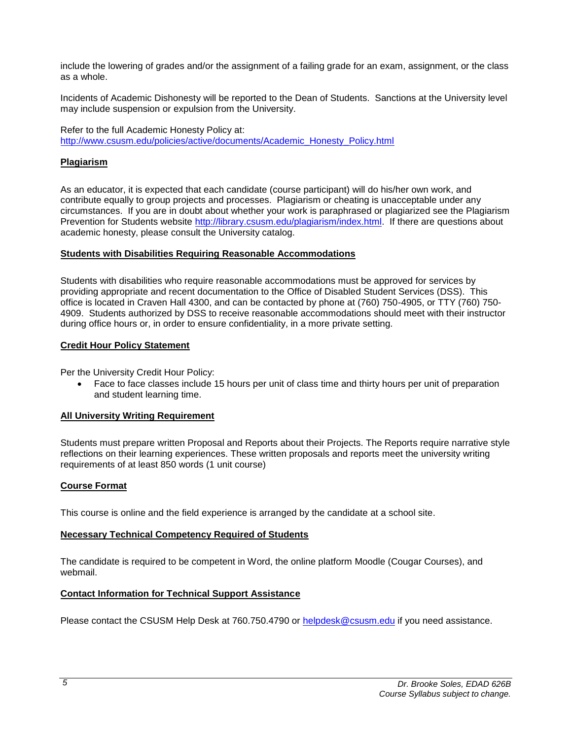include the lowering of grades and/or the assignment of a failing grade for an exam, assignment, or the class as a whole.

Incidents of Academic Dishonesty will be reported to the Dean of Students. Sanctions at the University level may include suspension or expulsion from the University.

Refer to the full Academic Honesty Policy at: [http://www.csusm.edu/policies/active/documents/Academic\\_Honesty\\_Policy.html](http://www.csusm.edu/policies/active/documents/Academic_Honesty_Policy.html)

### **Plagiarism**

As an educator, it is expected that each candidate (course participant) will do his/her own work, and contribute equally to group projects and processes. Plagiarism or cheating is unacceptable under any circumstances. If you are in doubt about whether your work is paraphrased or plagiarized see the Plagiarism Prevention for Students website [http://library.csusm.edu/plagiarism/index.html.](http://library.csusm.edu/plagiarism/index.html) If there are questions about academic honesty, please consult the University catalog.

### **Students with Disabilities Requiring Reasonable Accommodations**

Students with disabilities who require reasonable accommodations must be approved for services by providing appropriate and recent documentation to the Office of Disabled Student Services (DSS). This office is located in Craven Hall 4300, and can be contacted by phone at (760) 750-4905, or TTY (760) 750- 4909. Students authorized by DSS to receive reasonable accommodations should meet with their instructor during office hours or, in order to ensure confidentiality, in a more private setting.

### **Credit Hour Policy Statement**

Per the University Credit Hour Policy:

 Face to face classes include 15 hours per unit of class time and thirty hours per unit of preparation and student learning time.

# **All University Writing Requirement**

Students must prepare written Proposal and Reports about their Projects. The Reports require narrative style reflections on their learning experiences. These written proposals and reports meet the university writing requirements of at least 850 words (1 unit course)

### **Course Format**

This course is online and the field experience is arranged by the candidate at a school site.

# **Necessary Technical Competency Required of Students**

The candidate is required to be competent in Word, the online platform Moodle (Cougar Courses), and webmail.

### **Contact Information for Technical Support Assistance**

Please contact the CSUSM Help Desk at 760.750.4790 or [helpdesk@csusm.edu](mailto:helpdesk@csusm.edu) if you need assistance.